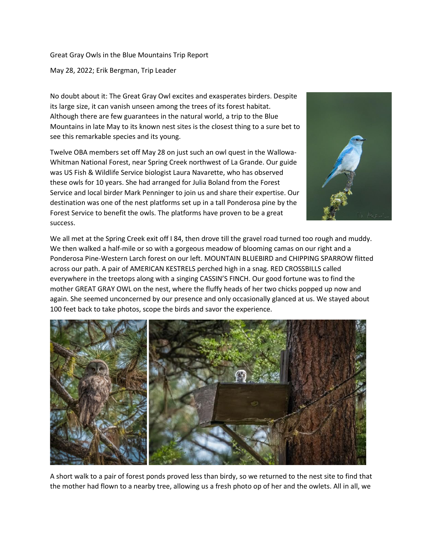Great Gray Owls in the Blue Mountains Trip Report May 28, 2022; Erik Bergman, Trip Leader

No doubt about it: The Great Gray Owl excites and exasperates birders. Despite its large size, it can vanish unseen among the trees of its forest habitat. Although there are few guarantees in the natural world, a trip to the Blue Mountains in late May to its known nest sites is the closest thing to a sure bet to see this remarkable species and its young.

Twelve OBA members set off May 28 on just such an owl quest in the Wallowa-Whitman National Forest, near Spring Creek northwest of La Grande. Our guide was US Fish & Wildlife Service biologist Laura Navarette, who has observed these owls for 10 years. She had arranged for Julia Boland from the Forest Service and local birder Mark Penninger to join us and share their expertise. Our destination was one of the nest platforms set up in a tall Ponderosa pine by the Forest Service to benefit the owls. The platforms have proven to be a great success.



We all met at the Spring Creek exit off I 84, then drove till the gravel road turned too rough and muddy. We then walked a half-mile or so with a gorgeous meadow of blooming camas on our right and a Ponderosa Pine-Western Larch forest on our left. MOUNTAIN BLUEBIRD and CHIPPING SPARROW flitted across our path. A pair of AMERICAN KESTRELS perched high in a snag. RED CROSSBILLS called everywhere in the treetops along with a singing CASSIN'S FINCH. Our good fortune was to find the mother GREAT GRAY OWL on the nest, where the fluffy heads of her two chicks popped up now and again. She seemed unconcerned by our presence and only occasionally glanced at us. We stayed about 100 feet back to take photos, scope the birds and savor the experience.



A short walk to a pair of forest ponds proved less than birdy, so we returned to the nest site to find that the mother had flown to a nearby tree, allowing us a fresh photo op of her and the owlets. All in all, we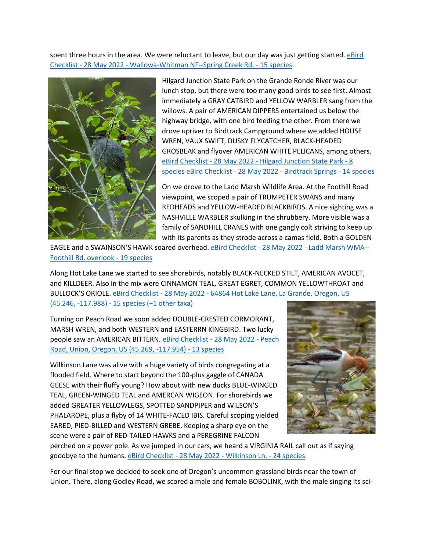spent three hours in the area. We were reluctant to leave, but our day was just getting started. eBird Checklist - 28 May 2022 - [Wallowa-Whitman NF--Spring Creek Rd. -](https://ebird.org/checklist/S111564731) 15 species



Hilgard Junction State Park on the Grande Ronde River was our lunch stop, but there were too many good birds to see first. Almost immediately a GRAY CATBIRD and YELLOW WARBLER sang from the willows. A pair of AMERICAN DIPPERS entertained us below the highway bridge, with one bird feeding the other. From there we drove upriver to Birdtrack Campground where we added HOUSE WREN, VAUX SWIFT, DUSKY FLYCATCHER, BLACK-HEADED GROSBEAK and flyover AMERICAN WHITE PELICANS, among others. eBird Checklist - 28 May 2022 - [Hilgard Junction State Park -](https://ebird.org/checklist/S111564489) 8 [species](https://ebird.org/checklist/S111564489) eBird Checklist - 28 May 2022 - [Birdtrack Springs -](https://ebird.org/checklist/S111564464) 14 species

On we drove to the Ladd Marsh Wildlife Area. At the Foothill Road viewpoint, we scoped a pair of TRUMPETER SWANS and many REDHEADS and YELLOW-HEADED BLACKBIRDS. A nice sighting was a NASHVILLE WARBLER skulking in the shrubbery. More visible was a family of SANDHILL CRANES with one gangly colt striving to keep up with its parents as they strode across a camas field. Both a GOLDEN

EAGLE and a SWAINSON'S HAWK soared overhead. eBird Checklist - 28 May 2022 - [Ladd Marsh WMA--](https://ebird.org/checklist/S111564436) [Foothill Rd. overlook -](https://ebird.org/checklist/S111564436) 19 species

Along Hot Lake Lane we started to see shorebirds, notably BLACK-NECKED STILT, AMERICAN AVOCET, and KILLDEER. Also in the mix were CINNAMON TEAL, GREAT EGRET, COMMON YELLOWTHROAT and BULLOCK'S ORIOLE. eBird Checklist - 28 May 2022 - [64864 Hot Lake Lane, La Grande, Oregon, US](https://ebird.org/checklist/S111564344)  (45.246, -117.988) - [15 species \(+1 other taxa\)](https://ebird.org/checklist/S111564344)

Turning on Peach Road we soon added DOUBLE-CRESTED CORMORANT, MARSH WREN, and both WESTERN and EASTERRN KINGBIRD. Two lucky people saw an AMERICAN BITTERN. [eBird Checklist -](https://ebird.org/checklist/S111564322) 28 May 2022 - Peach [Road, Union, Oregon, US \(45.269, -117.954\) -](https://ebird.org/checklist/S111564322) 13 species

Wilkinson Lane was alive with a huge variety of birds congregating at a flooded field. Where to start beyond the 100-plus gaggle of CANADA GEESE with their fluffy young? How about with new ducks BLUE-WINGED TEAL, GREEN-WINGED TEAL and AMERCAN WIGEON. For shorebirds we added GREATER YELLOWLEGS, SPOTTED SANDPIPER and WILSON'S PHALAROPE, plus a flyby of 14 WHITE-FACED IBIS. Careful scoping yielded EARED, PIED-BILLED and WESTERN GREBE. Keeping a sharp eye on the scene were a pair of RED-TAILED HAWKS and a PEREGRINE FALCON



perched on a power pole. As we jumped in our cars, we heard a VIRGINIA RAIL call out as if saying goodbye to the humans[. eBird Checklist -](https://ebird.org/checklist/S111564290) 28 May 2022 - Wilkinson Ln. - 24 species

For our final stop we decided to seek one of Oregon's uncommon grassland birds near the town of Union. There, along Godley Road, we scored a male and female BOBOLINK, with the male singing its sci